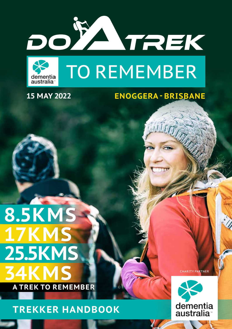



## **15 MAY 2022 ENOGGERA - BRISBANE**

an Tr

# **A TREK TO REMEMBER 17KMS 25.5KMS 8.5KMS 34KMS**

**TREKKER HANDBOOK**

CHARITY PARTNER

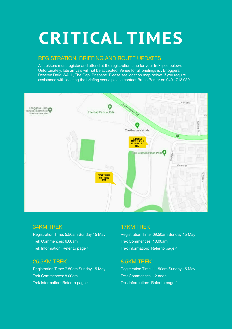# **CRITICAL TIMES**

### REGISTRATION, BRIEFING AND ROUTE UPDATES

All trekkers must register and attend at the registration time for your trek (see below). Unfortunately, late arrivals will not be accepted. Venue for all briefings is , Enoggera Reserve DAM WALL, The Gap, Brisbane. Please see location map below. If you require assistance with locating the briefing venue please contact Bruce Barker on 0401 713 039.



### 34KM TREK

Registration Time: 5.50am Sunday 15 May Trek Commences: 6.00am Trek Information: Refer to page 4

### 25.5KM TREK

Registration Time: 7.50am Sunday 15 May Trek Commences: 8.00am Trek information: Refer to page 4

### 17KM TREK

Registration Time: 09.50am Sunday 15 May Trek Commences: 10.00am Trek information: Refer to page 4

### 8.5KM TREK

Registration Time: 11.50am Sunday 15 May Trek Commences: 12 noon Trek information: Refer to page 4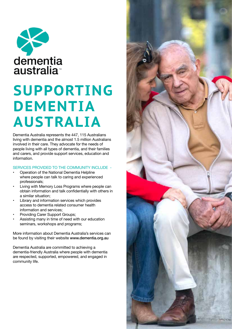

# **SUPPORTING DEMENTIA AUSTRALIA**

Dementia Australia represents the 447, 115 Australians living with dementia and the almost 1.5 million Australians involved in their care. They advocate for the needs of people living with all types of dementia, and their families and carers, and provide support services, education and information.

#### SERVICES PROVIDED TO THE COMMUNITY INCLUDE -

- Operation of the National Dementia Helpline where people can talk to caring and experienced professionals;
- Living with Memory Loss Programs where people can obtain information and talk confidentially with others in a similar situation;
- Library and information services which provides access to dementia related consumer health information and services;
- Providing Carer Support Groups;
- Assisting many in time of need with our education seminars, workshops and programs;

More information about Dementia Australia's services can be found by visiting their website www.dementia.org.au

Dementia Australia are committed to achieving a dementia-friendly Australia where people with dementia are respected, supported, empowered, and engaged in community life.

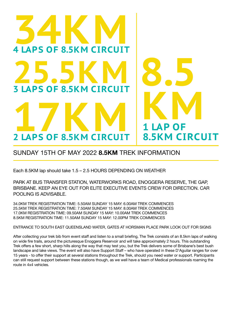# **34KM 4 LAPS OF 8.5KM CIRCUIT** 25.5KM **3 LAPS OF 8.5KM CIRCUIT 2 LAPS OF 8.5KM CIRCUIT 8.5KM CIRCUIT 8.5 KM**

### SUNDAY 15TH OF MAY 2022 **8.5KM** TREK INFORMATION

Each 8.5KM lap should take 1.5 – 2.5 HOURS DEPENDING ON WEATHER

PARK AT BUS TRANSFER STATION, WATERWORKS ROAD, ENOGGERA RESERVE, THE GAP, BRISBANE. KEEP AN EYE OUT FOR ELITE EXECUTIVE EVENTS CREW FOR DIRECTION. CAR POOLING IS ADVISABLE.

34.0KM TREK REGISTRATION TIME: 5.50AM SUNDAY 15 MAY: 6.00AM TREK COMMENCES 25.5KM TREK REGISTRATION TIME: 7.50AM SUNDAY 15 MAY: 8.00AM TREK COMMENCES 17.0KM REGISTRATION TIME: 09.50AM SUNDAY 15 MAY: 10.00AM TREK COMMENCES 8.5KM REGISTRATION TIME: 11.50AM SUNDAY 15 MAY: 12.00PM TREK COMMENCES

ENTRANCE TO SOUTH EAST QUEENSLAND WATER, GATES AT HORSMAN PLACE PARK LOOK OUT FOR SIGNS

After collecting your trek bib from event staff and listen to a small briefing, The Trek consists of an 8.5km laps of walking on wide fire trails, around the picturesque Enoggera Reservoir and will take approximately 2 hours. This outstanding Trek offers a few short, sharp hills along the way that may test you, but the Trek delivers some of Brisbane's best bush landscape and lake views. The event will also have Support Staff – who have operated in these D'Aguilar ranges for over 15 years - to offer their support at several stations throughout the Trek, should you need water or support. Participants can still request support between these stations though, as we well have a team of Medical professionals roaming the route in 4x4 vehicles.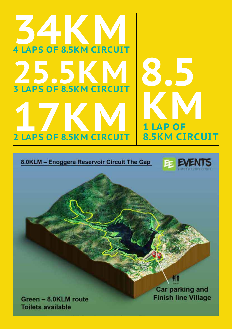# **34KM 4 LAPS OF 8.5KM CIRCUIT 25.5KM 3 LAPS OF 8.5KM CIRCUIT 2 LAPS OF 8.5KM CIRCUIT 8.5KM CIRCUIT 8.5** *K* LAP OF

8.0KLM - Enoggera Reservoir Circuit The Gap



Green - 8.0KLM route **Toilets available** 

**Car parking and Finish line Village**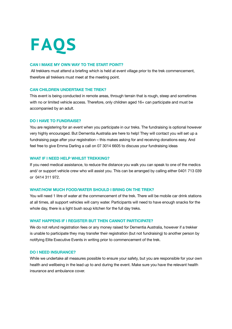# **FAQS**

#### **CAN I MAKE MY OWN WAY TO THE START POINT?**

 All trekkers must attend a briefing which is held at event village prior to the trek commencement, therefore all trekkers must meet at the meeting point.

#### **CAN CHILDREN UNDERTAKE THE TREK?**

This event is being conducted in remote areas, through terrain that is rough, steep and sometimes with no or limited vehicle access. Therefore, only children aged 16+ can participate and must be accompanied by an adult.

#### **DO I HAVE TO FUNDRAISE?**

You are registering for an event when you participate in our treks. The fundraising is optional however very highly encouraged. But Dementia Australia are here to help! They will contact you will set up a fundraising page after your registration – this makes asking for and receiving donations easy. And feel free to give Emma Darling a call on 07 3014 6605 to discuss your fundraising ideas

#### **WHAT IF I NEED HELP WHILST TREKKING?**

If you need medical assistance, to reduce the distance you walk you can speak to one of the medics and/ or support vehicle crew who will assist you. This can be arranged by calling either 0401 713 039 or 0414 311 972.

#### **WHAT/HOW MUCH FOOD/WATER SHOULD I BRING ON THE TREK?**

You will need 1 litre of water at the commencement of the trek. There will be mobile car drink stations at all times, all support vehicles will carry water. Participants will need to have enough snacks for the whole day, there is a light bush soup kitchen for the full day treks.

#### **WHAT HAPPENS IF I REGISTER BUT THEN CANNOT PARTICIPATE?**

We do not refund registration fees or any money raised for Dementia Australia, however if a trekker is unable to participate they may transfer their registration (but not fundraising) to another person by notifying Elite Executive Events in writing prior to commencement of the trek.

#### **DO I NEED INSURANCE?**

While we undertake all measures possible to ensure your safety, but you are responsible for your own health and wellbeing in the lead up to and during the event. Make sure you have the relevant health insurance and ambulance cover.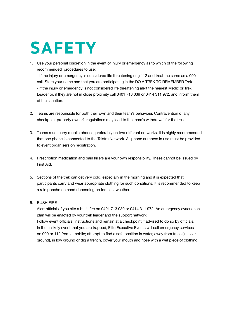# **SAFETY**

1. Use your personal discretion in the event of injury or emergency as to which of the following recommended procedures to use:

- If the injury or emergency is considered life threatening ring 112 and treat the same as a 000 call. State your name and that you are participating in the DO A TREK TO REMEMBER Trek. - If the injury or emergency is not considered life threatening alert the nearest Medic or Trek Leader or, if they are not in close proximity call 0401 713 039 or 0414 311 972, and inform them of the situation.

- 2. Teams are responsible for both their own and their team's behaviour. Contravention of any checkpoint property owner's regulations may lead to the team's withdrawal for the trek.
- 3. Teams must carry mobile phones, preferably on two different networks. It is highly recommended that one phone is connected to the Telstra Network. All phone numbers in use must be provided to event organisers on registration.
- 4. Prescription medication and pain killers are your own responsibility. These cannot be issued by First Aid.
- 5. Sections of the trek can get very cold, especially in the morning and it is expected that participants carry and wear appropriate clothing for such conditions. It is recommended to keep a rain poncho on hand depending on forecast weather.
- 6. BUSH FIRE

Alert officials if you site a bush fire on 0401 713 039 or 0414 311 972. An emergency evacuation plan will be enacted by your trek leader and the support network. Follow event officials' instructions and remain at a checkpoint if advised to do so by officials. In the unlikely event that you are trapped, Elite Executive Events will call emergency services on 000 or 112 from a mobile; attempt to find a safe position in water, away from trees (in clear ground), in low ground or dig a trench, cover your mouth and nose with a wet piece of clothing.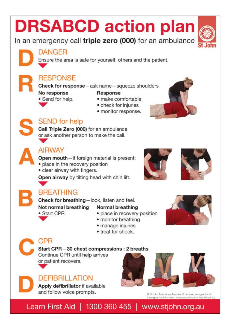# **DRSABCD action plan**

In an emergency call triple zero (000) for an ambulance

**DANGER** 

Ensure the area is safe for yourself, others and the patient.

## **RESPONSE**

Check for response-ask name-squeeze shoulders

#### No response • Send for help.

### Response

- · make comfortable
- check for injuries
- · monitor response.



## **SEND** for help

Call Triple Zero (000) for an ambulance or ask another person to make the call.

### **AIRWAY**

Open mouth-if foreign material is present:

- place in the recovery position
- clear airway with fingers.

Open airway by tilting head with chin lift.





## **BREATHING**

· Start CPR.

Check for breathing-look, listen and feel.

Not normal breathing

### Normal breathing

- · place in recovery position
- monitor breathing
- · manage injuries
- treat for shock.

## CPR

### Start CPR-30 chest compressions : 2 breaths

Continue CPR until help arrives or patient recovers.

## **DEFIBRILLATION**

Apply defibrillator if available and follow voice prompts.



C St John Ambulance Australia, St John encourages first aid<br>training as this information is not a substitute for first aid training.

Learn First Aid | 1300 360 455 | www.stjohn.org.au







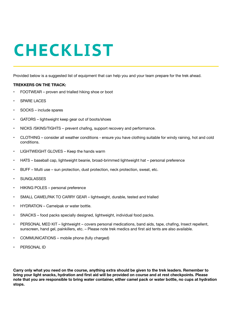# **CHECKLIST**

Provided below is a suggested list of equipment that can help you and your team prepare for the trek ahead.

#### **TREKKERS ON THE TRACK:**

- FOOTWEAR proven and trialled hiking shoe or boot
- **SPARE LACES**
- SOCKS include spares
- GATORS lightweight keep gear out of boots/shoes
- NICKS /SKINS/TIGHTS prevent chafing, support recovery and performance.
- CLOTHING consider all weather conditions ensure you have clothing suitable for windy raining, hot and cold conditions.
- LIGHTWEIGHT GLOVES Keep the hands warm
- HATS baseball cap, lightweight beanie, broad-brimmed lightweight hat personal preference
- BUFF Multi use sun protection, dust protection, neck protection, sweat, etc.
- **SUNGLASSES**
- HIKING POLES personal preference
- SMALL CAMELPAK TO CARRY GEAR lightweight, durable, tested and trialled
- HYDRATION Camelpak or water bottle.
- SNACKS food packs specially designed, lightweight, individual food packs.
- PERSONAL MED KIT lightweight covers personal medications, band aids, tape, chafing, Insect repellent, sunscreen, hand gel, painkillers, etc. – Please note trek medics and first aid tents are also available.
- COMMUNICATIONS mobile phone (fully charged)
- PERSONAL ID

**Carry only what you need on the course, anything extra should be given to the trek leaders. Remember to bring your light snacks, hydration and first aid will be provided on course and at rest checkpoints. Please note that you are responsible to bring water container, either camel pack or water bottle, no cups at hydration stops.**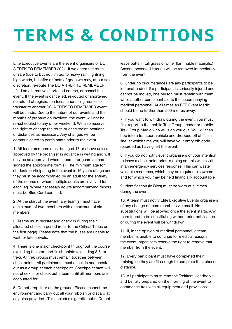# **TERMS & CONDITIONS**

Elite Executive Events are the event organisers of DO A TREK TO REMEMBER 2021. If we deem the route unsafe (due to but not limited to heavy rain, lightning, high winds, bushfire or 'acts of god') we may, at our sole discretion, re-route The DO A TREK TO REMEMBER , find an alternative shortened course, or cancel the event. If the event is cancelled, re-routed or shortened, no refund of registration fees, fundraising monies or transfer to another DO A TREK TO REMEMBER event will be made. Due to the nature of our events and the months of preparation involved, the event will not be re-scheduled to any other weekend. We also reserve the right to change the route or checkpoint locations or distances as necessary. Any changes will be communicated to participants prior to the event.

1. All team members must be aged 18 or above unless approved by the organiser in advance in writing and will only be so approved where a parent or guardian has signed the appropriate form(s). The minimum age for students participating in the event is 16 years of age and they must be accompanied by an adult for the entirety of the course or where multiple adults are involved for each leg. Where necessary adults accompanying minors must be Blue Card certified.

2. At the start of the event, any team(s) must have a minimum of two members with a maximum of six members

3. Teams must register and check in during their allocated check in period (refer to the Critical Times on the first page). Please note that the buses are unable to wait for late arrivals.

4. There is one major checkpoint throughout the course excluding the start and finish points (excluding 8.5km trek). All trek groups must remain together between checkpoints. All participants must check in and check out as a group at each checkpoint. Checkpoint staff will not check in or check out a team until all members are accounted for.

5. Do not drop litter on the ground. Please respect the environment and carry out all your rubbish or discard at any bins provided. (This includes cigarette butts. Do not

leave butts in tall grass or other flammable materials.) Anyone observed littering will be removed immediately from the event.

6. Under no circumstances are any participants to be left unattended. If a participant is seriously injured and cannot be moved, one person must remain with them while another participant alerts the accompanying medical personnel. At all times an EEE Event Medic should be no further than 500 metres away.

7. If you want to withdraw during the event, you must first report to the mobile Trek Group Leader or mobile Trek Group Medic who will sign you out. You will then hop into a transport vehicle and dropped off at finish line. at which time you will have your entry bib code recorded as having left the event.

8. If you do not notify event organisers of your intention to leave a checkpoint prior to doing so, this will result in an emergency services response. This can waste valuable resources, which may be required elsewhere and for which you may be held financially accountable.

9. Identification (ie Bibs) must be worn at all times during the event.

10. A team must notify Elite Executive Events organisers of any change of team members via email. No substitutions will be allowed once the event starts. Any team found to be substituting without prior notification or during the event will be withdrawn.

11. If, in the opinion of medical personnel, a team member is unable to continue for medical reasons the event organisers reserve the right to remove that member from the event.

12. Every participant must have completed their training, so they are fit enough to complete their chosen distance.

13. All participants must read the Trekkers Handbook and be fully prepared on the morning of the event to commence trek with all equipment and provisions.